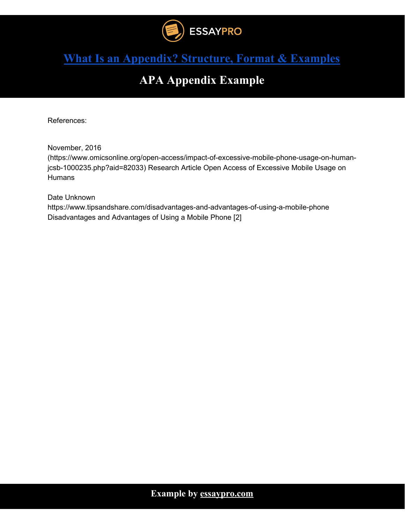

### **APA Appendix Example**

References:

November, 2016

(https://www.omicsonline.org/open-access/impact-of-excessive-mobile-phone-usage-on-humanjcsb-1000235.php?aid=82033) Research Article Open Access of Excessive Mobile Usage on **Humans** 

Date Unknown

https://www.tipsandshare.com/disadvantages-and-advantages-of-using-a-mobile-phone Disadvantages and Advantages of Using a Mobile Phone [2]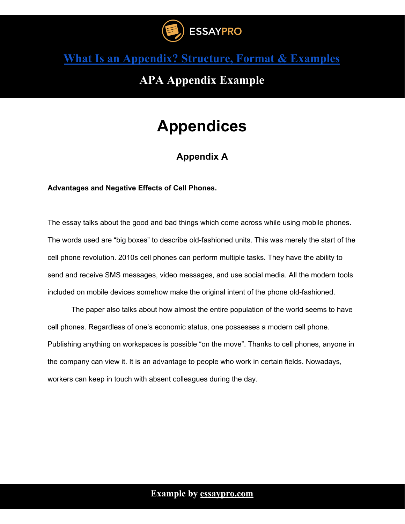

### **APA Appendix Example**

## **Appendices**

### **Appendix A**

**Advantages and Negative Effects of Cell Phones.**

The essay talks about the good and bad things which come across while using mobile phones. The words used are "big boxes" to describe old-fashioned units. This was merely the start of the cell phone revolution. 2010s cell phones can perform multiple tasks. They have the ability to send and receive SMS messages, video messages, and use social media. All the modern tools included on mobile devices somehow make the original intent of the phone old-fashioned.

The paper also talks about how almost the entire population of the world seems to have cell phones. Regardless of one's economic status, one possesses a modern cell phone. Publishing anything on workspaces is possible "on the move". Thanks to cell phones, anyone in the company can view it. It is an advantage to people who work in certain fields. Nowadays, workers can keep in touch with absent colleagues during the day.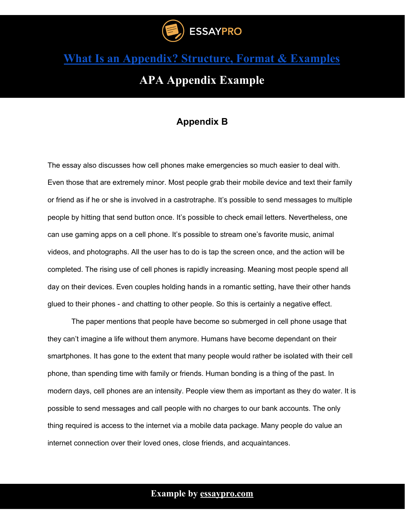

### **APA Appendix Example**

### **Appendix B**

The essay also discusses how cell phones make emergencies so much easier to deal with. Even those that are extremely minor. Most people grab their mobile device and text their family or friend as if he or she is involved in a castrotraphe. It's possible to send messages to multiple people by hitting that send button once. It's possible to check email letters. Nevertheless, one can use gaming apps on a cell phone. It's possible to stream one's favorite music, animal videos, and photographs. All the user has to do is tap the screen once, and the action will be completed. The rising use of cell phones is rapidly increasing. Meaning most people spend all day on their devices. Even couples holding hands in a romantic setting, have their other hands glued to their phones - and chatting to other people. So this is certainly a negative effect.

The paper mentions that people have become so submerged in cell phone usage that they can't imagine a life without them anymore. Humans have become dependant on their smartphones. It has gone to the extent that many people would rather be isolated with their cell phone, than spending time with family or friends. Human bonding is a thing of the past. In modern days, cell phones are an intensity. People view them as important as they do water. It is possible to send messages and call people with no charges to our bank accounts. The only thing required is access to the internet via a mobile data package. Many people do value an internet connection over their loved ones, close friends, and acquaintances.